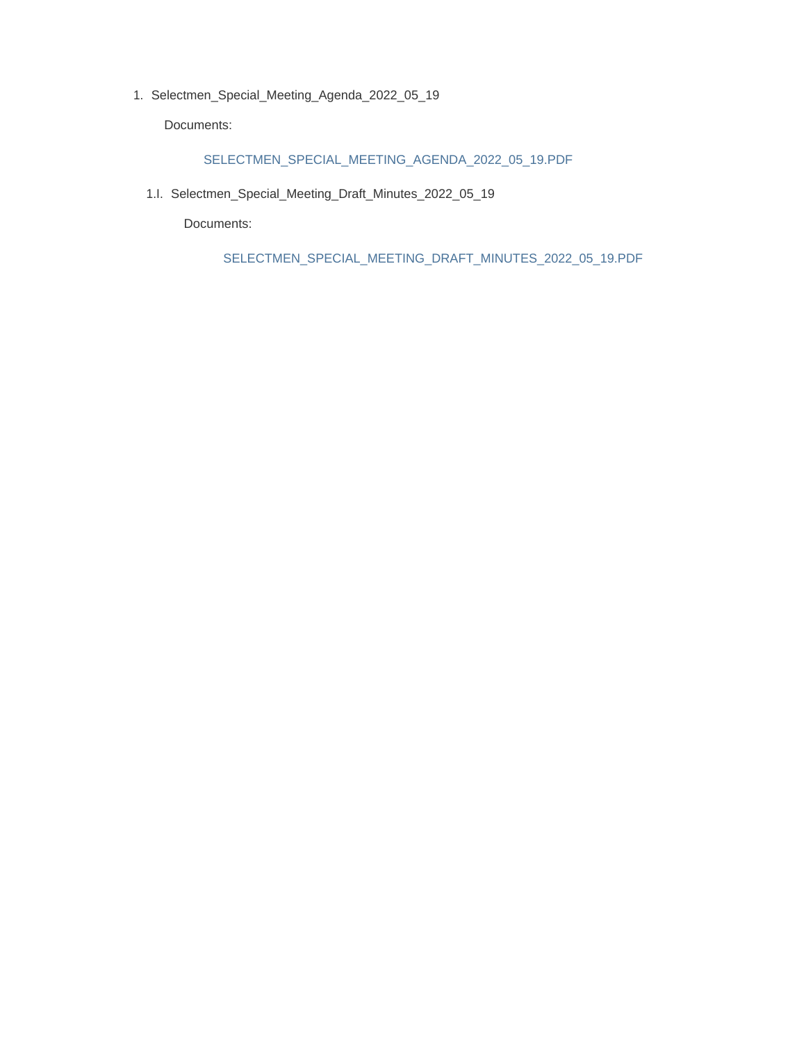1. Selectmen\_Special\_Meeting\_Agenda\_2022\_05\_19

Documents:

#### SELECTMEN\_SPECIAL\_MEETING\_AGENDA\_2022\_05\_19.PDF

1.I. Selectmen\_Special\_Meeting\_Draft\_Minutes\_2022\_05\_19

Documents:

SELECTMEN\_SPECIAL\_MEETING\_DRAFT\_MINUTES\_2022\_05\_19.PDF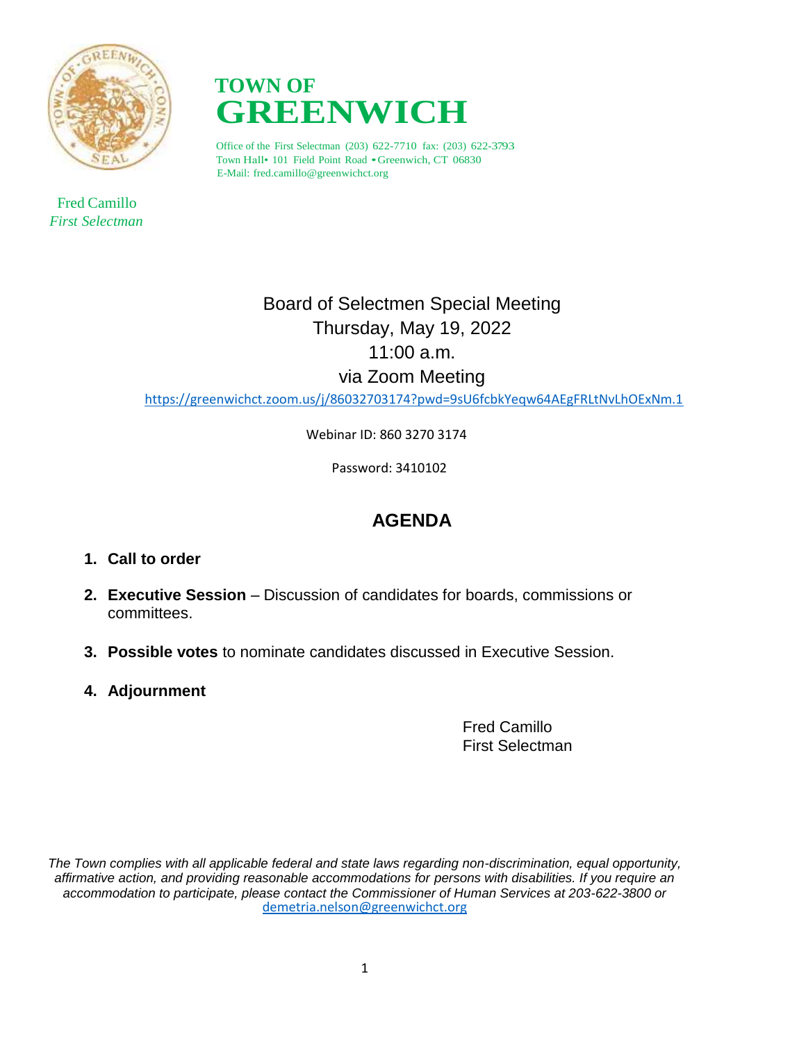

 Fred Camillo *First Selectman*



Office of the First Selectman (203) 622-7710 fax: (203) 622-3793 Town Hall• <sup>101</sup> Field Point Road •Greenwich, CT 06830 E-Mail: fred.camillo@greenwichct.org

> Board of Selectmen Special Meeting Thursday, May 19, 2022 11:00 a.m. via Zoom Meeting

<https://greenwichct.zoom.us/j/86032703174?pwd=9sU6fcbkYeqw64AEgFRLtNvLhOExNm.1>

Webinar ID: 860 3270 3174

Password: 3410102

# **AGENDA**

- **1. Call to order**
- **2. Executive Session** Discussion of candidates for boards, commissions or committees.
- **3. Possible votes** to nominate candidates discussed in Executive Session.
- **4. Adjournment**

Fred Camillo First Selectman

*The Town complies with all applicable federal and state laws regarding non-discrimination, equal opportunity, affirmative action, and providing reasonable accommodations for persons with disabilities. If you require an accommodation to participate, please contact the Commissioner of Human Services at 203-622-3800 or* [demetria.nelson@greenwichct.org](mailto:demetria.nelson@greenwichct.org)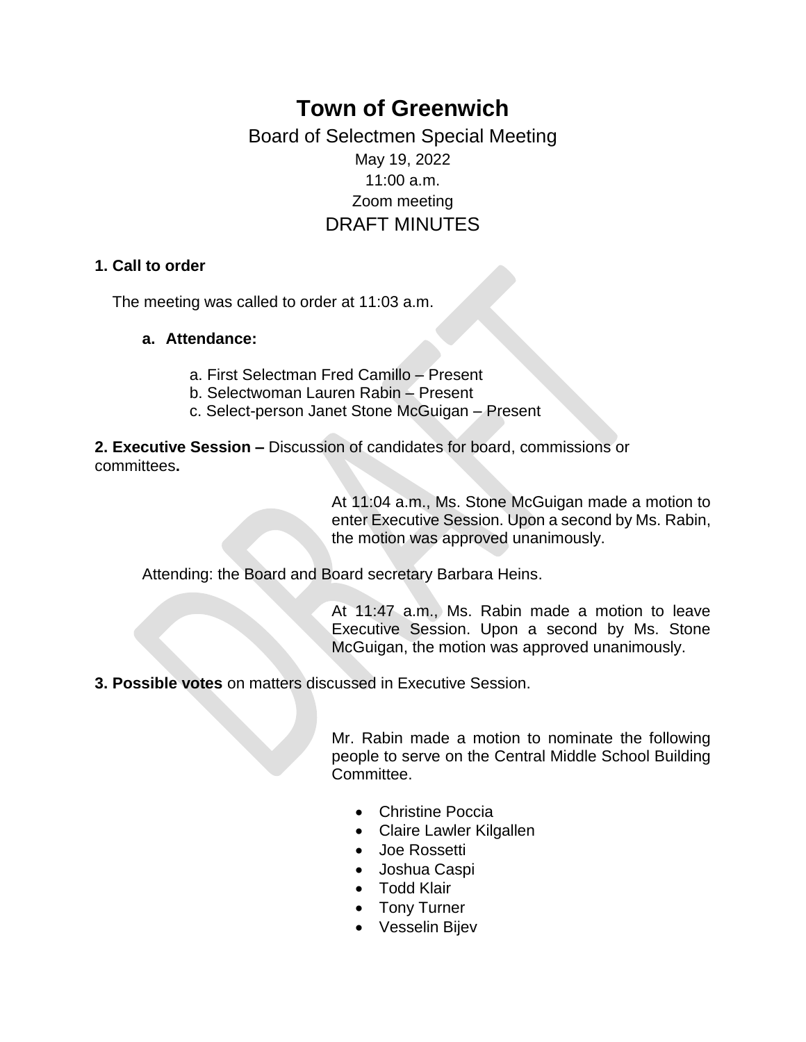# **Town of Greenwich**

# Board of Selectmen Special Meeting May 19, 2022 11:00 a.m. Zoom meeting DRAFT MINUTES

### **1. Call to order**

The meeting was called to order at 11:03 a.m.

### **a. Attendance:**

- a. First Selectman Fred Camillo Present
- b. Selectwoman Lauren Rabin Present
- c. Select-person Janet Stone McGuigan Present

**2. Executive Session –** Discussion of candidates for board, commissions or committees**.**

> At 11:04 a.m., Ms. Stone McGuigan made a motion to enter Executive Session. Upon a second by Ms. Rabin, the motion was approved unanimously.

Attending: the Board and Board secretary Barbara Heins.

At 11:47 a.m., Ms. Rabin made a motion to leave Executive Session. Upon a second by Ms. Stone McGuigan, the motion was approved unanimously.

**3. Possible votes** on matters discussed in Executive Session.

Mr. Rabin made a motion to nominate the following people to serve on the Central Middle School Building Committee.

- Christine Poccia
- Claire Lawler Kilgallen
- Joe Rossetti
- Joshua Caspi
- Todd Klair
- Tony Turner
- Vesselin Bijev